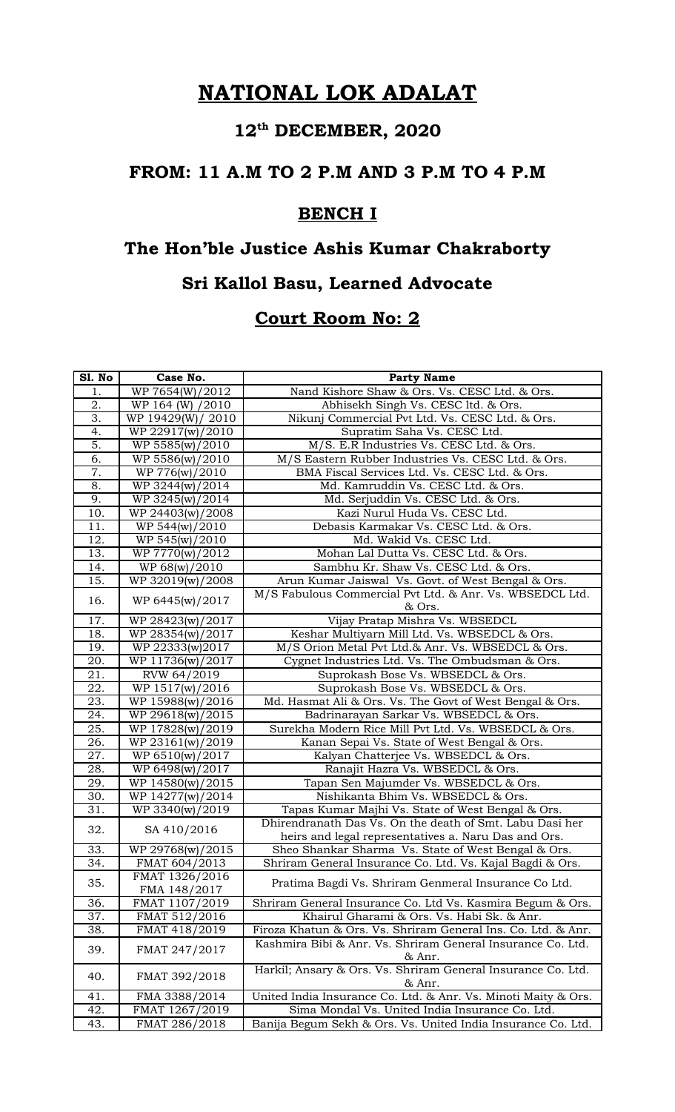# **12th DECEMBER, 2020**

#### **FROM: 11 A.M TO 2 P.M AND 3 P.M TO 4 P.M**

### **BENCH I**

# **The Hon'ble Justice Ashis Kumar Chakraborty Sri Kallol Basu, Learned Advocate**

| Sl. No           | Case No.          | <b>Party Name</b>                                                      |
|------------------|-------------------|------------------------------------------------------------------------|
| 1.               | WP 7654(W)/2012   | Nand Kishore Shaw & Ors. Vs. CESC Ltd. & Ors.                          |
| 2.               | WP 164 (W) /2010  | Abhisekh Singh Vs. CESC ltd. & Ors.                                    |
| 3.               | WP 19429(W)/ 2010 | Nikunj Commercial Pvt Ltd. Vs. CESC Ltd. & Ors.                        |
| 4.               | WP 22917(w)/2010  | Supratim Saha Vs. CESC Ltd.                                            |
| $\overline{5}$ . | WP 5585(w)/2010   | M/S. E.R Industries Vs. CESC Ltd. & Ors.                               |
| 6.               | WP 5586(w)/2010   | M/S Eastern Rubber Industries Vs. CESC Ltd. & Ors.                     |
| 7.               | WP 776(w)/2010    | BMA Fiscal Services Ltd. Vs. CESC Ltd. & Ors.                          |
| 8.               | WP 3244(w)/2014   | Md. Kamruddin Vs. CESC Ltd. & Ors.                                     |
| 9.               | WP 3245(w)/2014   | Md. Serjuddin Vs. CESC Ltd. & Ors.                                     |
| 10.              | WP 24403(w)/2008  | Kazi Nurul Huda Vs. CESC Ltd.                                          |
| 11.              | WP 544(w)/2010    | Debasis Karmakar Vs. CESC Ltd. & Ors.                                  |
| 12.              | WP 545(w)/2010    | Md. Wakid Vs. CESC Ltd.                                                |
| 13.              | WP 7770(w)/2012   | Mohan Lal Dutta Vs. CESC Ltd. & Ors.                                   |
| 14.              | WP 68(w)/2010     | Sambhu Kr. Shaw Vs. CESC Ltd. & Ors.                                   |
| 15.              | WP 32019(w)/2008  | Arun Kumar Jaiswal Vs. Govt. of West Bengal & Ors.                     |
|                  |                   | M/S Fabulous Commercial Pvt Ltd. & Anr. Vs. WBSEDCL Ltd.               |
| 16.              | WP 6445(w)/2017   | & Ors.                                                                 |
| 17.              | WP 28423(w)/2017  | Vijay Pratap Mishra Vs. WBSEDCL                                        |
| 18.              | WP 28354(w)/2017  | Keshar Multiyarn Mill Ltd. Vs. WBSEDCL & Ors.                          |
| 19.              | WP 22333(w)2017   | M/S Orion Metal Pvt Ltd.& Anr. Vs. WBSEDCL & Ors.                      |
| 20.              | WP 11736(w)/2017  | Cygnet Industries Ltd. Vs. The Ombudsman & Ors.                        |
| 21.              | RVW 64/2019       | Suprokash Bose Vs. WBSEDCL & Ors.                                      |
| 22.              | WP 1517(w)/2016   | Suprokash Bose Vs. WBSEDCL & Ors.                                      |
| 23.              | WP 15988(w)/2016  | Md. Hasmat Ali & Ors. Vs. The Govt of West Bengal & Ors.               |
| 24.              | WP 29618(w)/2015  | Badrinarayan Sarkar Vs. WBSEDCL & Ors.                                 |
| 25.              | WP 17828(w)/2019  | Surekha Modern Rice Mill Pvt Ltd. Vs. WBSEDCL & Ors.                   |
| 26.              | WP 23161(w)/2019  | Kanan Sepai Vs. State of West Bengal & Ors.                            |
| 27.              | WP 6510(w)/2017   | Kalyan Chatterjee Vs. WBSEDCL & Ors.                                   |
| 28.              | WP 6498(w)/2017   | Ranajit Hazra Vs. WBSEDCL & Ors.                                       |
| 29.              | WP 14580(w)/2015  | Tapan Sen Majumder Vs. WBSEDCL & Ors.                                  |
| 30.              | WP 14277(w)/2014  | Nishikanta Bhim Vs. WBSEDCL & Ors.                                     |
| 31.              | WP 3340(w)/2019   | Tapas Kumar Majhi Vs. State of West Bengal & Ors.                      |
|                  |                   | Dhirendranath Das Vs. On the death of Smt. Labu Dasi her               |
| 32.              | SA 410/2016       | heirs and legal representatives a. Naru Das and Ors.                   |
| 33.              | WP 29768(w)/2015  | Sheo Shankar Sharma Vs. State of West Bengal & Ors.                    |
| 34.              | FMAT 604/2013     | Shriram General Insurance Co. Ltd. Vs. Kajal Bagdi & Ors.              |
|                  | FMAT 1326/2016    |                                                                        |
| 35.              | FMA 148/2017      | Pratima Bagdi Vs. Shriram Genmeral Insurance Co Ltd.                   |
| 36.              | FMAT 1107/2019    | Shriram General Insurance Co. Ltd Vs. Kasmira Begum & Ors.             |
| 37.              | FMAT 512/2016     | Khairul Gharami & Ors. Vs. Habi Sk. & Anr.                             |
| 38.              | FMAT 418/2019     | Firoza Khatun & Ors. Vs. Shriram General Ins. Co. Ltd. & Anr.          |
| 39.              | FMAT 247/2017     | Kashmira Bibi & Anr. Vs. Shriram General Insurance Co. Ltd.<br>& Anr.  |
| 40.              | FMAT 392/2018     | Harkil; Ansary & Ors. Vs. Shriram General Insurance Co. Ltd.<br>& Anr. |
| 41.              | FMA 3388/2014     | United India Insurance Co. Ltd. & Anr. Vs. Minoti Maity & Ors.         |
| 42.              | FMAT 1267/2019    | Sima Mondal Vs. United India Insurance Co. Ltd.                        |
| 43.              | FMAT 286/2018     | Banija Begum Sekh & Ors. Vs. United India Insurance Co. Ltd.           |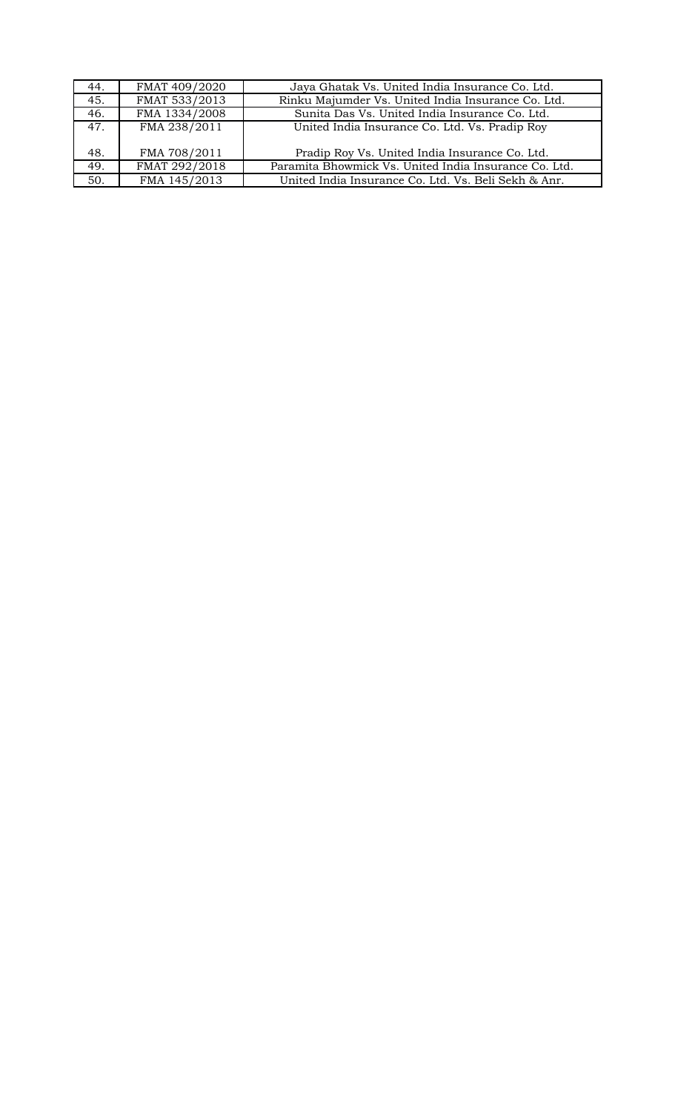| 44. | FMAT 409/2020 | Jaya Ghatak Vs. United India Insurance Co. Ltd.       |
|-----|---------------|-------------------------------------------------------|
| 45. | FMAT 533/2013 | Rinku Majumder Vs. United India Insurance Co. Ltd.    |
| 46. | FMA 1334/2008 | Sunita Das Vs. United India Insurance Co. Ltd.        |
| 47. | FMA 238/2011  | United India Insurance Co. Ltd. Vs. Pradip Roy        |
| 48. | FMA 708/2011  | Pradip Roy Vs. United India Insurance Co. Ltd.        |
| 49. | FMAT 292/2018 | Paramita Bhowmick Vs. United India Insurance Co. Ltd. |
| 50. | FMA 145/2013  | United India Insurance Co. Ltd. Vs. Beli Sekh & Anr.  |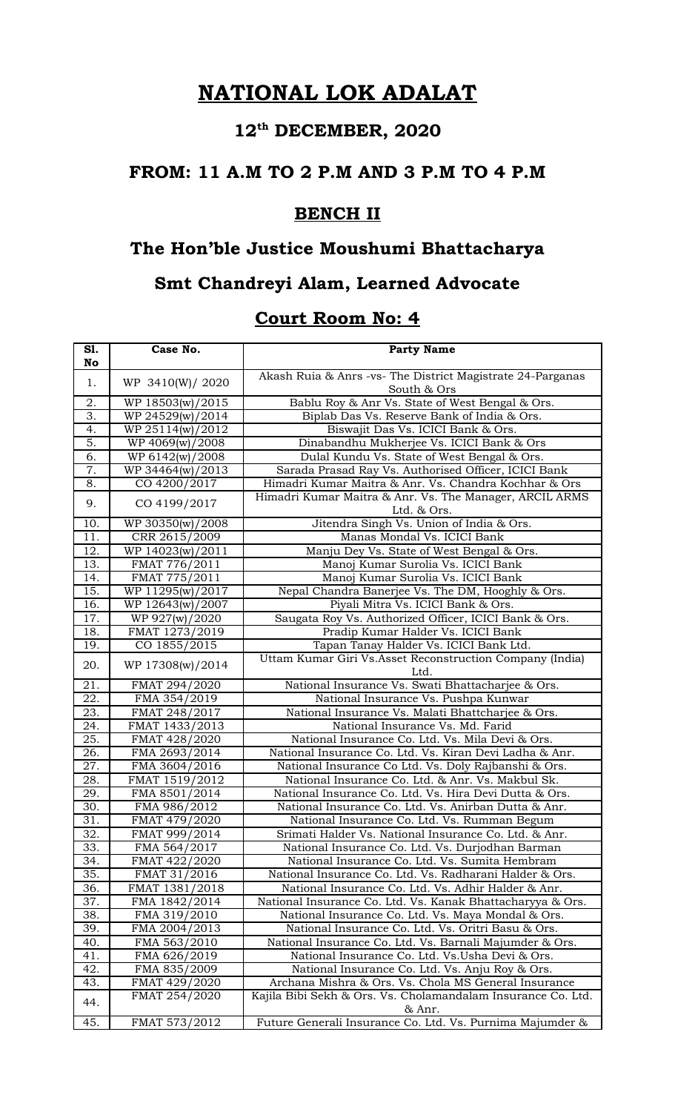# **12th DECEMBER, 2020**

#### **FROM: 11 A.M TO 2 P.M AND 3 P.M TO 4 P.M**

### **BENCH II**

# **The Hon'ble Justice Moushumi Bhattacharya**

### **Smt Chandreyi Alam, Learned Advocate**

| S1.<br>No         | Case No.         | <b>Party Name</b>                                                         |
|-------------------|------------------|---------------------------------------------------------------------------|
| 1.                | WP 3410(W)/ 2020 | Akash Ruia & Anrs -vs- The District Magistrate 24-Parganas<br>South & Ors |
| 2.                | WP 18503(w)/2015 | Bablu Roy & Anr Vs. State of West Bengal & Ors.                           |
| 3.                | WP 24529(w)/2014 | Biplab Das Vs. Reserve Bank of India & Ors.                               |
| 4.                | WP 25114(w)/2012 | Biswajit Das Vs. ICICI Bank & Ors.                                        |
| 5.                | WP 4069(w)/2008  | Dinabandhu Mukherjee Vs. ICICI Bank & Ors                                 |
| 6.                | WP 6142(w)/2008  | Dulal Kundu Vs. State of West Bengal & Ors.                               |
| 7.                | WP 34464(w)/2013 | Sarada Prasad Ray Vs. Authorised Officer, ICICI Bank                      |
| 8.                | CO 4200/2017     | Himadri Kumar Maitra & Anr. Vs. Chandra Kochhar & Ors                     |
| 9.                | CO 4199/2017     | Himadri Kumar Maitra & Anr. Vs. The Manager, ARCIL ARMS<br>Ltd. & Ors.    |
| 10.               | WP 30350(w)/2008 | Jitendra Singh Vs. Union of India & Ors.                                  |
| 11.               | CRR 2615/2009    | Manas Mondal Vs. ICICI Bank                                               |
| 12.               | WP 14023(w)/2011 | Manju Dey Vs. State of West Bengal & Ors.                                 |
| 13.               | FMAT 776/2011    | Manoj Kumar Surolia Vs. ICICI Bank                                        |
| 14.               | FMAT 775/2011    | Manoj Kumar Surolia Vs. ICICI Bank                                        |
| 15.               | WP 11295(w)/2017 | Nepal Chandra Banerjee Vs. The DM, Hooghly & Ors.                         |
| 16.               | WP 12643(w)/2007 | Piyali Mitra Vs. ICICI Bank & Ors.                                        |
| 17.               | WP 927(w)/2020   | Saugata Roy Vs. Authorized Officer, ICICI Bank & Ors.                     |
| 18.               | FMAT 1273/2019   | Pradip Kumar Halder Vs. ICICI Bank                                        |
| 19.               | CO 1855/2015     | Tapan Tanay Halder Vs. ICICI Bank Ltd.                                    |
| 20.               | WP 17308(w)/2014 | Uttam Kumar Giri Vs.Asset Reconstruction Company (India)<br>Ltd.          |
| 21.               | FMAT 294/2020    | National Insurance Vs. Swati Bhattacharjee & Ors.                         |
| 22.               | FMA 354/2019     | National Insurance Vs. Pushpa Kunwar                                      |
| 23.               | FMAT 248/2017    | National Insurance Vs. Malati Bhattcharjee & Ors.                         |
| 24.               | FMAT 1433/2013   | National Insurance Vs. Md. Farid                                          |
| 25.               | FMAT 428/2020    | National Insurance Co. Ltd. Vs. Mila Devi & Ors.                          |
| 26.               | FMA 2693/2014    | National Insurance Co. Ltd. Vs. Kiran Devi Ladha & Anr.                   |
| 27.               | FMA 3604/2016    | National Insurance Co Ltd. Vs. Doly Rajbanshi & Ors.                      |
| 28.               | FMAT 1519/2012   | National Insurance Co. Ltd. & Anr. Vs. Makbul Sk.                         |
| 29.               | FMA 8501/2014    | National Insurance Co. Ltd. Vs. Hira Devi Dutta & Ors.                    |
| 30.               | FMA 986/2012     | National Insurance Co. Ltd. Vs. Anirban Dutta & Anr.                      |
| 31.               | FMAT 479/2020    | National Insurance Co. Ltd. Vs. Rumman Begum                              |
| $\overline{32}$ . | FMAT 999/2014    | Srimati Halder Vs. National Insurance Co. Ltd. & Anr.                     |
| 33.               | FMA 564/2017     | National Insurance Co. Ltd. Vs. Durjodhan Barman                          |
| 34.               | FMAT 422/2020    | National Insurance Co. Ltd. Vs. Sumita Hembram                            |
| 35.               | FMAT 31/2016     | National Insurance Co. Ltd. Vs. Radharani Halder & Ors.                   |
| 36.               | FMAT 1381/2018   | National Insurance Co. Ltd. Vs. Adhir Halder & Anr.                       |
| 37.               | FMA 1842/2014    | National Insurance Co. Ltd. Vs. Kanak Bhattacharyya & Ors.                |
| 38.               | FMA 319/2010     | National Insurance Co. Ltd. Vs. Maya Mondal & Ors.                        |
| 39.               | FMA 2004/2013    | National Insurance Co. Ltd. Vs. Oritri Basu & Ors.                        |
| 40.               | FMA 563/2010     | National Insurance Co. Ltd. Vs. Barnali Majumder & Ors.                   |
| 41.               | FMA 626/2019     | National Insurance Co. Ltd. Vs. Usha Devi & Ors.                          |
| 42.               | FMA 835/2009     | National Insurance Co. Ltd. Vs. Anju Roy & Ors.                           |
| 43.               | FMAT 429/2020    | Archana Mishra & Ors. Vs. Chola MS General Insurance                      |
| 44.               | FMAT 254/2020    | Kajila Bibi Sekh & Ors. Vs. Cholamandalam Insurance Co. Ltd.<br>& Anr.    |
| 45.               | FMAT 573/2012    | Future Generali Insurance Co. Ltd. Vs. Purnima Majumder &                 |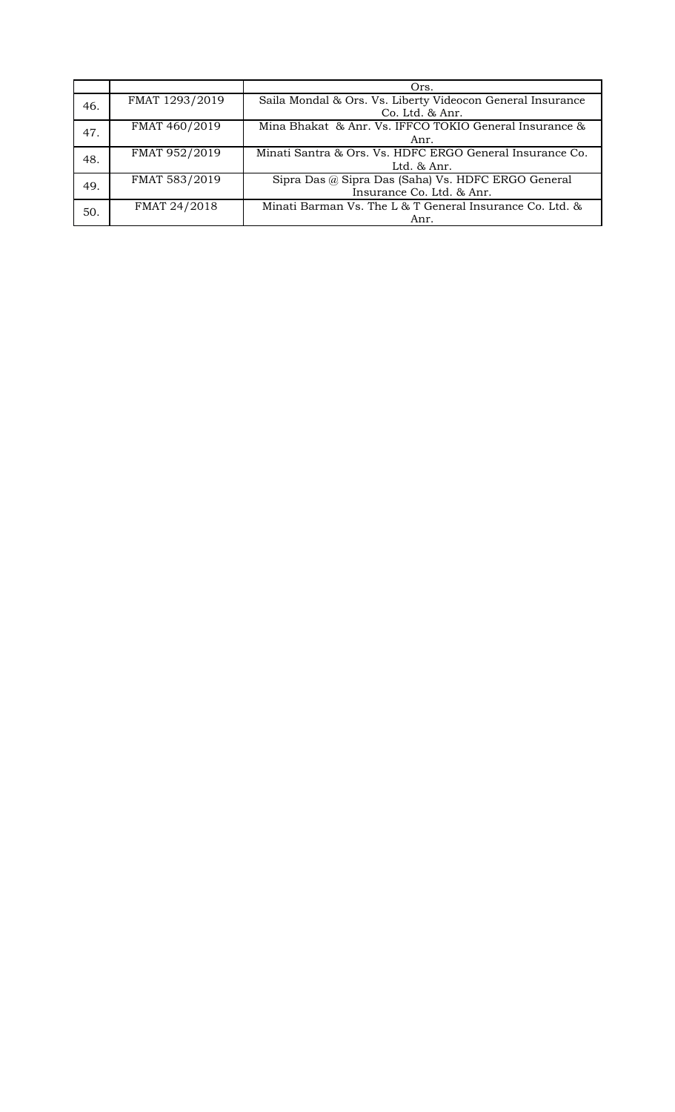|     |                | Ors.                                                       |
|-----|----------------|------------------------------------------------------------|
| 46. | FMAT 1293/2019 | Saila Mondal & Ors. Vs. Liberty Videocon General Insurance |
|     |                | $Co.$ Ltd. $& Anr.$                                        |
| 47. | FMAT 460/2019  | Mina Bhakat & Anr. Vs. IFFCO TOKIO General Insurance &     |
|     |                | Anr.                                                       |
| 48. | FMAT 952/2019  | Minati Santra & Ors. Vs. HDFC ERGO General Insurance Co.   |
|     |                | Ltd. $&$ Anr.                                              |
| 49. | FMAT 583/2019  | Sipra Das @ Sipra Das (Saha) Vs. HDFC ERGO General         |
|     |                | Insurance Co. Ltd. & Anr.                                  |
| 50. | FMAT 24/2018   | Minati Barman Vs. The L & T General Insurance Co. Ltd. &   |
|     |                | Anr.                                                       |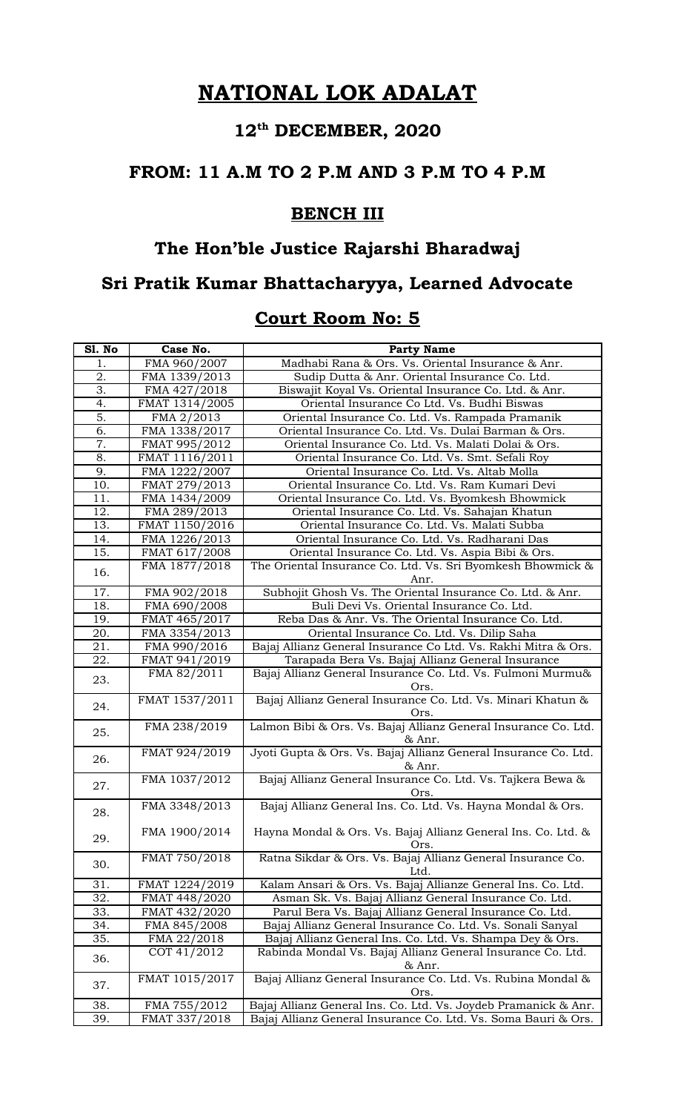# **12th DECEMBER, 2020**

### **FROM: 11 A.M TO 2 P.M AND 3 P.M TO 4 P.M**

#### **BENCH III**

# **The Hon'ble Justice Rajarshi Bharadwaj**

### **Sri Pratik Kumar Bhattacharyya, Learned Advocate**

| Sl. No           | Case No.       | <b>Party Name</b>                                                           |
|------------------|----------------|-----------------------------------------------------------------------------|
| 1.               | FMA 960/2007   | Madhabi Rana & Ors. Vs. Oriental Insurance & Anr.                           |
| $\overline{2}$ . | FMA 1339/2013  | Sudip Dutta & Anr. Oriental Insurance Co. Ltd.                              |
| 3.               | FMA 427/2018   | Biswajit Koyal Vs. Oriental Insurance Co. Ltd. & Anr.                       |
| 4.               | FMAT 1314/2005 | Oriental Insurance Co Ltd. Vs. Budhi Biswas                                 |
| $\overline{5}$ . | FMA 2/2013     | Oriental Insurance Co. Ltd. Vs. Rampada Pramanik                            |
| 6.               | FMA 1338/2017  | Oriental Insurance Co. Ltd. Vs. Dulai Barman & Ors.                         |
| 7.               | FMAT 995/2012  | Oriental Insurance Co. Ltd. Vs. Malati Dolai & Ors.                         |
| $\overline{8}$ . | FMAT 1116/2011 | Oriental Insurance Co. Ltd. Vs. Smt. Sefali Roy                             |
| 9.               | FMA 1222/2007  | Oriental Insurance Co. Ltd. Vs. Altab Molla                                 |
| 10.              | FMAT 279/2013  | Oriental Insurance Co. Ltd. Vs. Ram Kumari Devi                             |
| 11.              | FMA 1434/2009  | Oriental Insurance Co. Ltd. Vs. Byomkesh Bhowmick                           |
| 12.              | FMA 289/2013   | Oriental Insurance Co. Ltd. Vs. Sahajan Khatun                              |
| 13.              | FMAT 1150/2016 | Oriental Insurance Co. Ltd. Vs. Malati Subba                                |
| 14.              | FMA 1226/2013  | Oriental Insurance Co. Ltd. Vs. Radharani Das                               |
| 15.              | FMAT 617/2008  | Oriental Insurance Co. Ltd. Vs. Aspia Bibi & Ors.                           |
| 16.              | FMA 1877/2018  | The Oriental Insurance Co. Ltd. Vs. Sri Byomkesh Bhowmick &                 |
|                  |                | Anr.                                                                        |
| 17.              | FMA 902/2018   | Subhojit Ghosh Vs. The Oriental Insurance Co. Ltd. & Anr.                   |
| 18.              | FMA 690/2008   | Buli Devi Vs. Oriental Insurance Co. Ltd.                                   |
| 19.              | FMAT 465/2017  | Reba Das & Anr. Vs. The Oriental Insurance Co. Ltd.                         |
| 20.              | FMA 3354/2013  | Oriental Insurance Co. Ltd. Vs. Dilip Saha                                  |
| 21.              | FMA 990/2016   | Bajaj Allianz General Insurance Co Ltd. Vs. Rakhi Mitra & Ors.              |
| 22.              | FMAT 941/2019  | Tarapada Bera Vs. Bajaj Allianz General Insurance                           |
| 23.              | FMA 82/2011    | Bajaj Allianz General Insurance Co. Ltd. Vs. Fulmoni Murmu&                 |
|                  | FMAT 1537/2011 | <u>Ors.</u><br>Bajaj Allianz General Insurance Co. Ltd. Vs. Minari Khatun & |
| 24.              |                | Ors.                                                                        |
|                  | FMA 238/2019   | Lalmon Bibi & Ors. Vs. Bajaj Allianz General Insurance Co. Ltd.             |
| 25.              |                | & Anr.                                                                      |
|                  | FMAT 924/2019  | Jyoti Gupta & Ors. Vs. Bajaj Allianz General Insurance Co. Ltd.             |
| 26.              |                | & Anr.                                                                      |
|                  | FMA 1037/2012  | Bajaj Allianz General Insurance Co. Ltd. Vs. Tajkera Bewa &                 |
| 27.              |                | Ors.                                                                        |
|                  | FMA 3348/2013  | Bajaj Allianz General Ins. Co. Ltd. Vs. Hayna Mondal & Ors.                 |
| 28.              |                |                                                                             |
| 29.              | FMA 1900/2014  | Hayna Mondal & Ors. Vs. Bajaj Allianz General Ins. Co. Ltd. &               |
|                  |                | Ors.                                                                        |
| 30.              | FMAT 750/2018  | Ratna Sikdar & Ors. Vs. Bajaj Allianz General Insurance Co.                 |
|                  |                | Ltd.                                                                        |
| 31.              | FMAT 1224/2019 | Kalam Ansari & Ors. Vs. Bajaj Allianze General Ins. Co. Ltd.                |
| 32.              | FMAT 448/2020  | Asman Sk. Vs. Bajaj Allianz General Insurance Co. Ltd.                      |
| 33.              | FMAT 432/2020  | Parul Bera Vs. Bajaj Allianz General Insurance Co. Ltd.                     |
| 34.              | FMA 845/2008   | Bajaj Allianz General Insurance Co. Ltd. Vs. Sonali Sanyal                  |
| 35.              | FMA 22/2018    | Bajaj Allianz General Ins. Co. Ltd. Vs. Shampa Dey & Ors.                   |
| 36.              | COT 41/2012    | Rabinda Mondal Vs. Bajaj Allianz General Insurance Co. Ltd.                 |
|                  |                | & Anr.                                                                      |
| 37.              | FMAT 1015/2017 | Bajaj Allianz General Insurance Co. Ltd. Vs. Rubina Mondal &                |
|                  |                | Ors.                                                                        |
| 38.              | FMA 755/2012   | Bajaj Allianz General Ins. Co. Ltd. Vs. Joydeb Pramanick & Anr.             |
| 39.              | FMAT 337/2018  | Bajaj Allianz General Insurance Co. Ltd. Vs. Soma Bauri & Ors.              |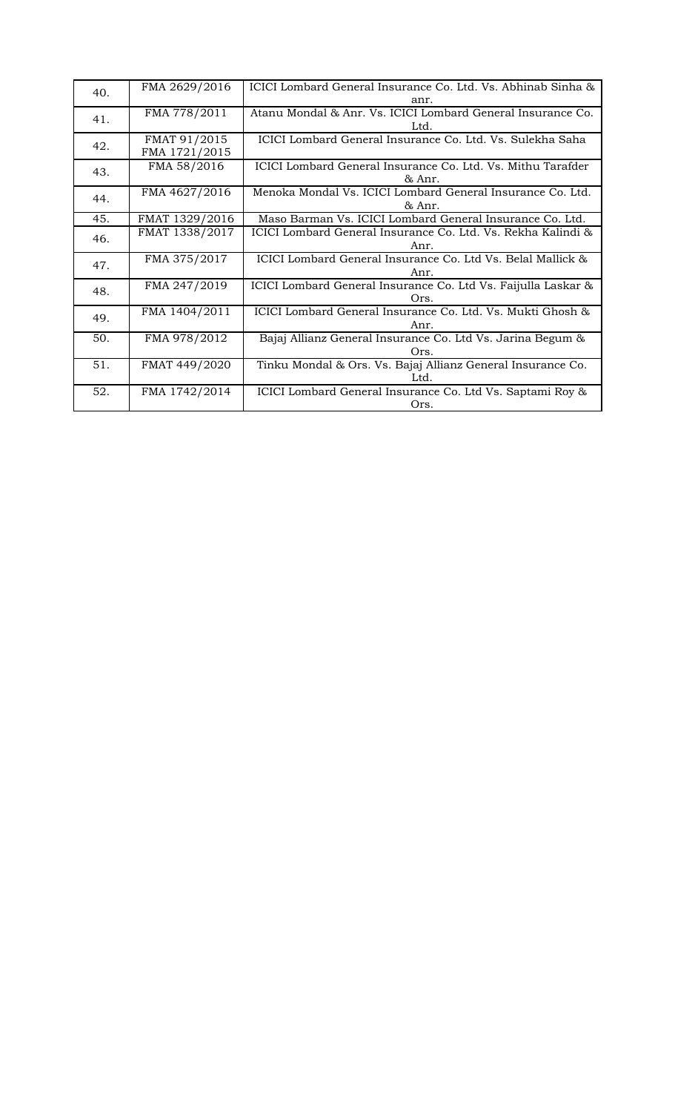| FMA 2629/2016 | ICICI Lombard General Insurance Co. Ltd. Vs. Abhinab Sinha &                                     |
|---------------|--------------------------------------------------------------------------------------------------|
|               | anr.                                                                                             |
| FMA 778/2011  | Atanu Mondal & Anr. Vs. ICICI Lombard General Insurance Co.                                      |
|               | Ltd.                                                                                             |
| FMAT 91/2015  | ICICI Lombard General Insurance Co. Ltd. Vs. Sulekha Saha                                        |
| FMA 1721/2015 |                                                                                                  |
|               | ICICI Lombard General Insurance Co. Ltd. Vs. Mithu Tarafder                                      |
|               | & Anr.                                                                                           |
|               | Menoka Mondal Vs. ICICI Lombard General Insurance Co. Ltd.                                       |
|               | & Anr.                                                                                           |
|               | Maso Barman Vs. ICICI Lombard General Insurance Co. Ltd.                                         |
|               | ICICI Lombard General Insurance Co. Ltd. Vs. Rekha Kalindi &                                     |
|               | Anr.                                                                                             |
|               | ICICI Lombard General Insurance Co. Ltd Vs. Belal Mallick &                                      |
|               | Anr.                                                                                             |
| FMA 247/2019  | ICICI Lombard General Insurance Co. Ltd Vs. Faijulla Laskar &                                    |
|               | Ors.                                                                                             |
| FMA 1404/2011 | ICICI Lombard General Insurance Co. Ltd. Vs. Mukti Ghosh &                                       |
|               | Anr.                                                                                             |
|               | Bajaj Allianz General Insurance Co. Ltd Vs. Jarina Begum &                                       |
|               | Ors.                                                                                             |
| FMAT 449/2020 | Tinku Mondal & Ors. Vs. Bajaj Allianz General Insurance Co.                                      |
|               | Ltd.                                                                                             |
| FMA 1742/2014 | ICICI Lombard General Insurance Co. Ltd Vs. Saptami Roy &                                        |
|               | Ors.                                                                                             |
|               | FMA 58/2016<br>FMA 4627/2016<br>FMAT 1329/2016<br>FMAT 1338/2017<br>FMA 375/2017<br>FMA 978/2012 |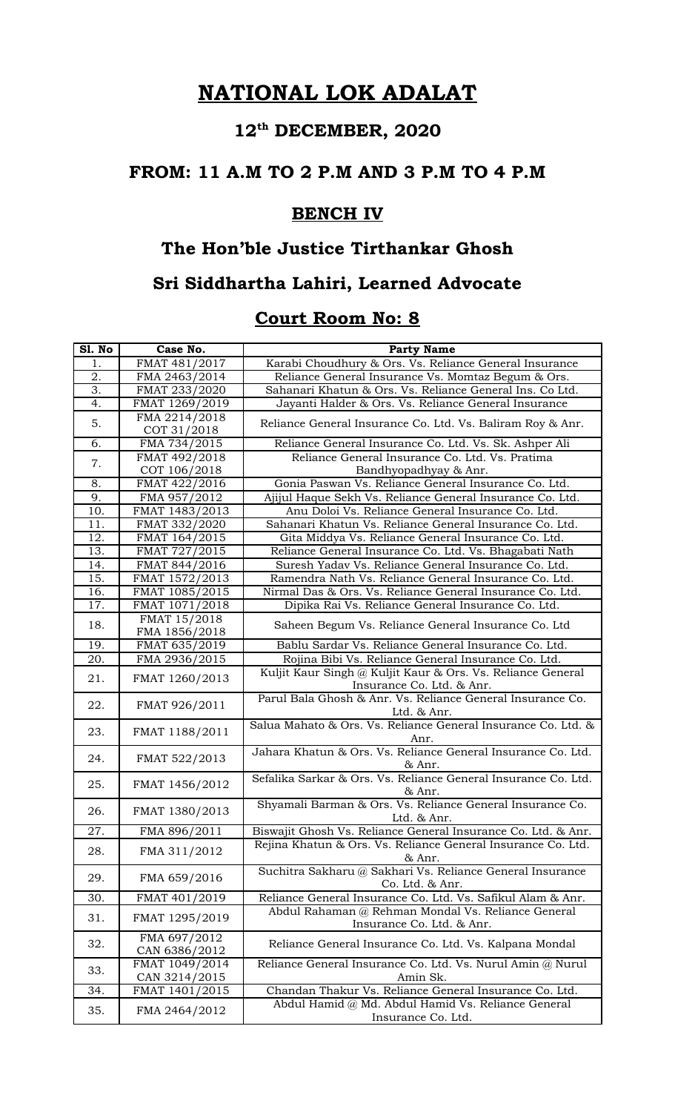# **12th DECEMBER, 2020**

#### **FROM: 11 A.M TO 2 P.M AND 3 P.M TO 4 P.M**

### **BENCH IV**

#### **The Hon'ble Justice Tirthankar Ghosh**

## **Sri Siddhartha Lahiri, Learned Advocate**

| Sl. No            | Case No.                      | <b>Party Name</b>                                                               |
|-------------------|-------------------------------|---------------------------------------------------------------------------------|
| 1.                | FMAT 481/2017                 | Karabi Choudhury & Ors. Vs. Reliance General Insurance                          |
| $\overline{2}$ .  | FMA 2463/2014                 | Reliance General Insurance Vs. Momtaz Begum & Ors.                              |
| 3.                | FMAT 233/2020                 | Sahanari Khatun & Ors. Vs. Reliance General Ins. Co Ltd.                        |
| 4.                | FMAT 1269/2019                | Jayanti Halder & Ors. Vs. Reliance General Insurance                            |
| 5.                | FMA 2214/2018<br>COT 31/2018  | Reliance General Insurance Co. Ltd. Vs. Baliram Roy & Anr.                      |
| 6.                | FMA 734/2015                  | Reliance General Insurance Co. Ltd. Vs. Sk. Ashper Ali                          |
| 7.                | FMAT 492/2018<br>COT 106/2018 | Reliance General Insurance Co. Ltd. Vs. Pratima<br>Bandhyopadhyay & Anr.        |
| 8.                | FMAT 422/2016                 | Gonia Paswan Vs. Reliance General Insurance Co. Ltd.                            |
| $\overline{9}$ .  | FMA 957/2012                  | Ajijul Haque Sekh Vs. Reliance General Insurance Co. Ltd.                       |
| 10.               | FMAT 1483/2013                | Anu Doloi Vs. Reliance General Insurance Co. Ltd.                               |
| 11.               | FMAT 332/2020                 | Sahanari Khatun Vs. Reliance General Insurance Co. Ltd.                         |
| 12.               | FMAT 164/2015                 | Gita Middya Vs. Reliance General Insurance Co. Ltd.                             |
| 13.               | FMAT 727/2015                 | Reliance General Insurance Co. Ltd. Vs. Bhagabati Nath                          |
| 14.               | FMAT 844/2016                 | Suresh Yadav Vs. Reliance General Insurance Co. Ltd.                            |
| $\overline{15}$ . | FMAT 1572/2013                | Ramendra Nath Vs. Reliance General Insurance Co. Ltd.                           |
| 16.               | FMAT 1085/2015                | Nirmal Das & Ors. Vs. Reliance General Insurance Co. Ltd.                       |
| 17.               | FMAT 1071/2018                | Dipika Rai Vs. Reliance General Insurance Co. Ltd.                              |
|                   | FMAT 15/2018                  |                                                                                 |
| 18.               | FMA 1856/2018                 | Saheen Begum Vs. Reliance General Insurance Co. Ltd                             |
| 19.               | FMAT 635/2019                 | Bablu Sardar Vs. Reliance General Insurance Co. Ltd.                            |
| 20.               | FMA 2936/2015                 | Rojina Bibi Vs. Reliance General Insurance Co. Ltd.                             |
|                   | FMAT 1260/2013                | Kuljit Kaur Singh @ Kuljit Kaur & Ors. Vs. Reliance General                     |
| 21.               |                               | Insurance Co. Ltd. & Anr.                                                       |
| 22.               | FMAT 926/2011                 | Parul Bala Ghosh & Anr. Vs. Reliance General Insurance Co.<br>Ltd. & Anr.       |
| 23.               | FMAT 1188/2011                | Salua Mahato & Ors. Vs. Reliance General Insurance Co. Ltd. &<br>Anr.           |
| 24.               | FMAT 522/2013                 | Jahara Khatun & Ors. Vs. Reliance General Insurance Co. Ltd.<br>& Anr.          |
| 25.               | FMAT 1456/2012                | Sefalika Sarkar & Ors. Vs. Reliance General Insurance Co. Ltd.<br>& Anr.        |
| 26.               | FMAT 1380/2013                | Shyamali Barman & Ors. Vs. Reliance General Insurance Co.<br>Ltd. & Anr.        |
| 27.               | FMA 896/2011                  | Biswajit Ghosh Vs. Reliance General Insurance Co. Ltd. & Anr.                   |
| 28.               | FMA 311/2012                  | Rejina Khatun & Ors. Vs. Reliance General Insurance Co. Ltd.<br>& Anr.          |
| 29.               | FMA 659/2016                  | Suchitra Sakharu @ Sakhari Vs. Reliance General Insurance<br>Co. Ltd. & Anr.    |
| 30.               | FMAT 401/2019                 | Reliance General Insurance Co. Ltd. Vs. Safikul Alam & Anr.                     |
| 31.               | FMAT 1295/2019                | Abdul Rahaman @ Rehman Mondal Vs. Reliance General<br>Insurance Co. Ltd. & Anr. |
| 32.               | FMA 697/2012<br>CAN 6386/2012 | Reliance General Insurance Co. Ltd. Vs. Kalpana Mondal                          |
|                   | FMAT 1049/2014                | Reliance General Insurance Co. Ltd. Vs. Nurul Amin @ Nurul                      |
| 33.               | CAN 3214/2015                 | Amin Sk.                                                                        |
| 34.               | FMAT 1401/2015                | Chandan Thakur Vs. Reliance General Insurance Co. Ltd.                          |
| 35.               | FMA 2464/2012                 | Abdul Hamid @ Md. Abdul Hamid Vs. Reliance General<br>Insurance Co. Ltd.        |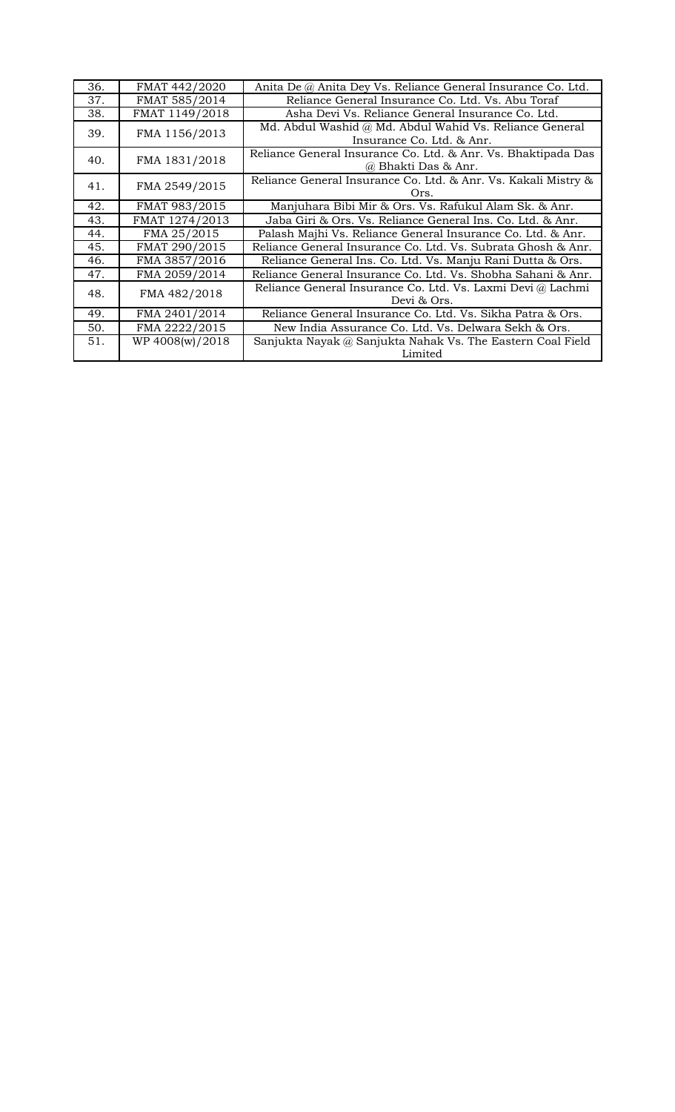| 36. | FMAT 442/2020   | Anita De @ Anita Dey Vs. Reliance General Insurance Co. Ltd.                         |
|-----|-----------------|--------------------------------------------------------------------------------------|
| 37. | FMAT 585/2014   | Reliance General Insurance Co. Ltd. Vs. Abu Toraf                                    |
| 38. | FMAT 1149/2018  | Asha Devi Vs. Reliance General Insurance Co. Ltd.                                    |
| 39. | FMA 1156/2013   | Md. Abdul Washid @ Md. Abdul Wahid Vs. Reliance General<br>Insurance Co. Ltd. & Anr. |
| 40. | FMA 1831/2018   | Reliance General Insurance Co. Ltd. & Anr. Vs. Bhaktipada Das<br>@ Bhakti Das & Anr. |
| 41. | FMA 2549/2015   | Reliance General Insurance Co. Ltd. & Anr. Vs. Kakali Mistry &<br>Ors.               |
| 42. | FMAT 983/2015   | Manjuhara Bibi Mir & Ors. Vs. Rafukul Alam Sk. & Anr.                                |
| 43. | FMAT 1274/2013  | Jaba Giri & Ors. Vs. Reliance General Ins. Co. Ltd. & Anr.                           |
| 44. | FMA 25/2015     | Palash Majhi Vs. Reliance General Insurance Co. Ltd. & Anr.                          |
| 45. | FMAT 290/2015   | Reliance General Insurance Co. Ltd. Vs. Subrata Ghosh & Anr.                         |
| 46. | FMA 3857/2016   | Reliance General Ins. Co. Ltd. Vs. Manju Rani Dutta & Ors.                           |
| 47. | FMA 2059/2014   | Reliance General Insurance Co. Ltd. Vs. Shobha Sahani & Anr.                         |
| 48. | FMA 482/2018    | Reliance General Insurance Co. Ltd. Vs. Laxmi Devi @ Lachmi<br>Devi & Ors.           |
| 49. | FMA 2401/2014   | Reliance General Insurance Co. Ltd. Vs. Sikha Patra & Ors.                           |
| 50. | FMA 2222/2015   | New India Assurance Co. Ltd. Vs. Delwara Sekh & Ors.                                 |
| 51. | WP 4008(w)/2018 | Sanjukta Nayak @ Sanjukta Nahak Vs. The Eastern Coal Field<br>Limited                |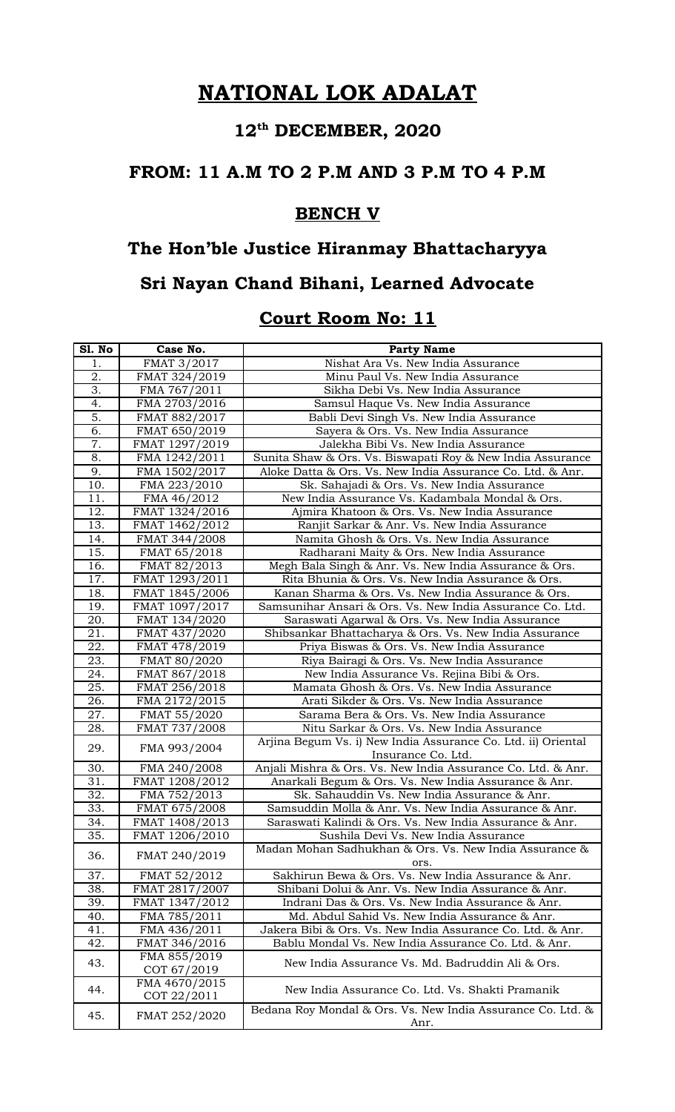# **12th DECEMBER, 2020**

#### **FROM: 11 A.M TO 2 P.M AND 3 P.M TO 4 P.M**

#### **BENCH V**

# **The Hon'ble Justice Hiranmay Bhattacharyya**

### **Sri Nayan Chand Bihani, Learned Advocate**

| <b>S1. No</b>     | Case No.       | <b>Party Name</b>                                             |
|-------------------|----------------|---------------------------------------------------------------|
| 1.                | FMAT 3/2017    | Nishat Ara Vs. New India Assurance                            |
| 2.                | FMAT 324/2019  | Minu Paul Vs. New India Assurance                             |
| 3.                | FMA 767/2011   | Sikha Debi Vs. New India Assurance                            |
| 4.                | FMA 2703/2016  | Samsul Haque Vs. New India Assurance                          |
| 5.                | FMAT 882/2017  | Babli Devi Singh Vs. New India Assurance                      |
| 6.                | FMAT 650/2019  | Sayera & Ors. Vs. New India Assurance                         |
| 7.                | FMAT 1297/2019 | Jalekha Bibi Vs. New India Assurance                          |
| 8.                | FMA 1242/2011  | Sunita Shaw & Ors. Vs. Biswapati Roy & New India Assurance    |
| 9.                | FMA 1502/2017  | Aloke Datta & Ors. Vs. New India Assurance Co. Ltd. & Anr.    |
| 10.               | FMA 223/2010   | Sk. Sahajadi & Ors. Vs. New India Assurance                   |
| 11.               | FMA 46/2012    | New India Assurance Vs. Kadambala Mondal & Ors.               |
| 12.               | FMAT 1324/2016 | Ajmira Khatoon & Ors. Vs. New India Assurance                 |
| 13.               | FMAT 1462/2012 | Ranjit Sarkar & Anr. Vs. New India Assurance                  |
| 14.               | FMAT 344/2008  | Namita Ghosh & Ors. Vs. New India Assurance                   |
| 15.               | FMAT 65/2018   | Radharani Maity & Ors. New India Assurance                    |
| 16.               | FMAT 82/2013   | Megh Bala Singh & Anr. Vs. New India Assurance & Ors.         |
| 17.               | FMAT 1293/2011 | Rita Bhunia & Ors. Vs. New India Assurance & Ors.             |
| 18.               | FMAT 1845/2006 | Kanan Sharma & Ors. Vs. New India Assurance & Ors.            |
| 19.               | FMAT 1097/2017 | Samsunihar Ansari & Ors. Vs. New India Assurance Co. Ltd.     |
| 20.               | FMAT 134/2020  | Saraswati Agarwal & Ors. Vs. New India Assurance              |
| 21.               | FMAT 437/2020  | Shibsankar Bhattacharya & Ors. Vs. New India Assurance        |
| 22.               | FMAT 478/2019  | Priya Biswas & Ors. Vs. New India Assurance                   |
| 23.               | FMAT 80/2020   | Riya Bairagi & Ors. Vs. New India Assurance                   |
| 24.               | FMAT 867/2018  | New India Assurance Vs. Rejina Bibi & Ors.                    |
| 25.               | FMAT 256/2018  | Mamata Ghosh & Ors. Vs. New India Assurance                   |
| 26.               | FMA 2172/2015  | Arati Sikder & Ors. Vs. New India Assurance                   |
| 27.               | FMAT 55/2020   | Sarama Bera & Ors. Vs. New India Assurance                    |
| 28.               | FMAT 737/2008  | Nitu Sarkar & Ors. Vs. New India Assurance                    |
|                   |                | Arjina Begum Vs. i) New India Assurance Co. Ltd. ii) Oriental |
| 29.               | FMA 993/2004   | Insurance Co. Ltd.                                            |
| 30.               | FMA 240/2008   | Anjali Mishra & Ors. Vs. New India Assurance Co. Ltd. & Anr.  |
| 31.               | FMAT 1208/2012 | Anarkali Begum & Ors. Vs. New India Assurance & Anr.          |
| 32.               | FMA 752/2013   | Sk. Sahauddin Vs. New India Assurance & Anr.                  |
| 33.               | FMAT 675/2008  | Samsuddin Molla & Anr. Vs. New India Assurance & Anr.         |
| 34.               | FMAT 1408/2013 | Saraswati Kalindi & Ors. Vs. New India Assurance & Anr.       |
| $\overline{35}$ . | FMAT 1206/2010 | Sushila Devi Vs. New India Assurance                          |
|                   |                | Madan Mohan Sadhukhan & Ors. Vs. New India Assurance &        |
| 36.               | FMAT 240/2019  | ors.                                                          |
| 37.               | FMAT 52/2012   | Sakhirun Bewa & Ors. Vs. New India Assurance & Anr.           |
| 38.               | FMAT 2817/2007 | Shibani Dolui & Anr. Vs. New India Assurance & Anr.           |
| 39.               | FMAT 1347/2012 | Indrani Das & Ors. Vs. New India Assurance & Anr.             |
| 40.               | FMA 785/2011   | Md. Abdul Sahid Vs. New India Assurance & Anr.                |
| 41.               | FMA 436/2011   | Jakera Bibi & Ors. Vs. New India Assurance Co. Ltd. & Anr.    |
| 42.               | FMAT 346/2016  | Bablu Mondal Vs. New India Assurance Co. Ltd. & Anr.          |
|                   | FMA 855/2019   |                                                               |
| 43.               | COT 67/2019    | New India Assurance Vs. Md. Badruddin Ali & Ors.              |
|                   | FMA 4670/2015  |                                                               |
| 44.               | COT 22/2011    | New India Assurance Co. Ltd. Vs. Shakti Pramanik              |
|                   |                | Bedana Roy Mondal & Ors. Vs. New India Assurance Co. Ltd. &   |
| 45.               | FMAT 252/2020  | Anr.                                                          |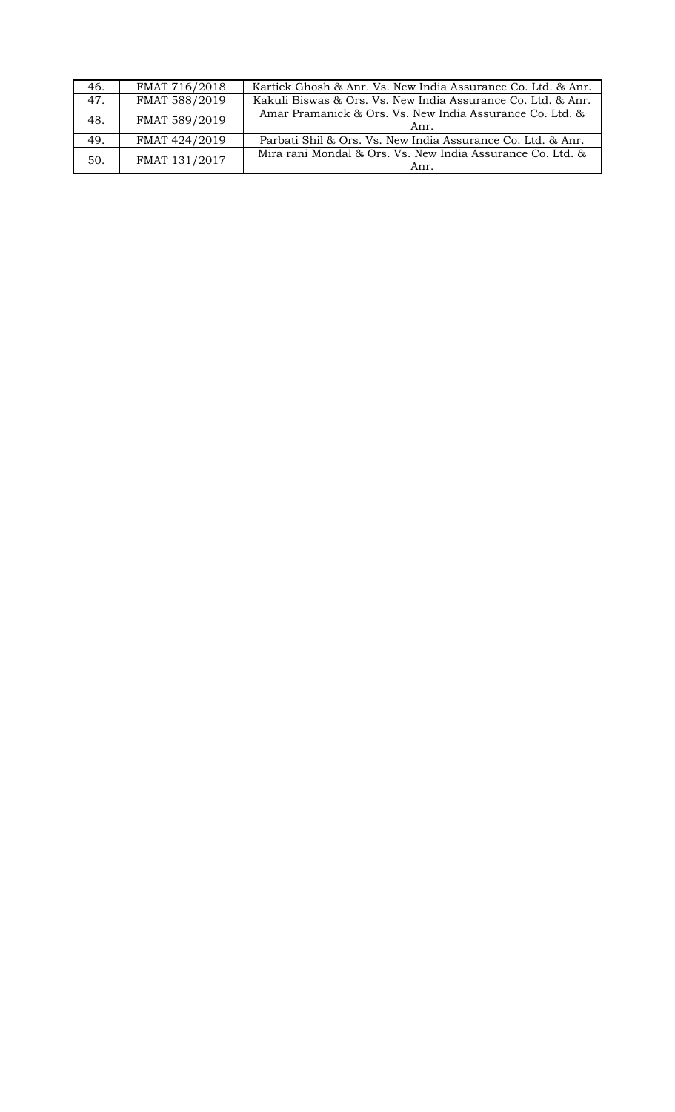| 46. | FMAT 716/2018 | Kartick Ghosh & Anr. Vs. New India Assurance Co. Ltd. & Anr.       |
|-----|---------------|--------------------------------------------------------------------|
| 47. | FMAT 588/2019 | Kakuli Biswas & Ors. Vs. New India Assurance Co. Ltd. & Anr.       |
| 48. | FMAT 589/2019 | Amar Pramanick & Ors. Vs. New India Assurance Co. Ltd. &<br>Anr.   |
| 49. | FMAT 424/2019 | Parbati Shil & Ors. Vs. New India Assurance Co. Ltd. & Anr.        |
| 50. | FMAT 131/2017 | Mira rani Mondal & Ors. Vs. New India Assurance Co. Ltd. &<br>Anr. |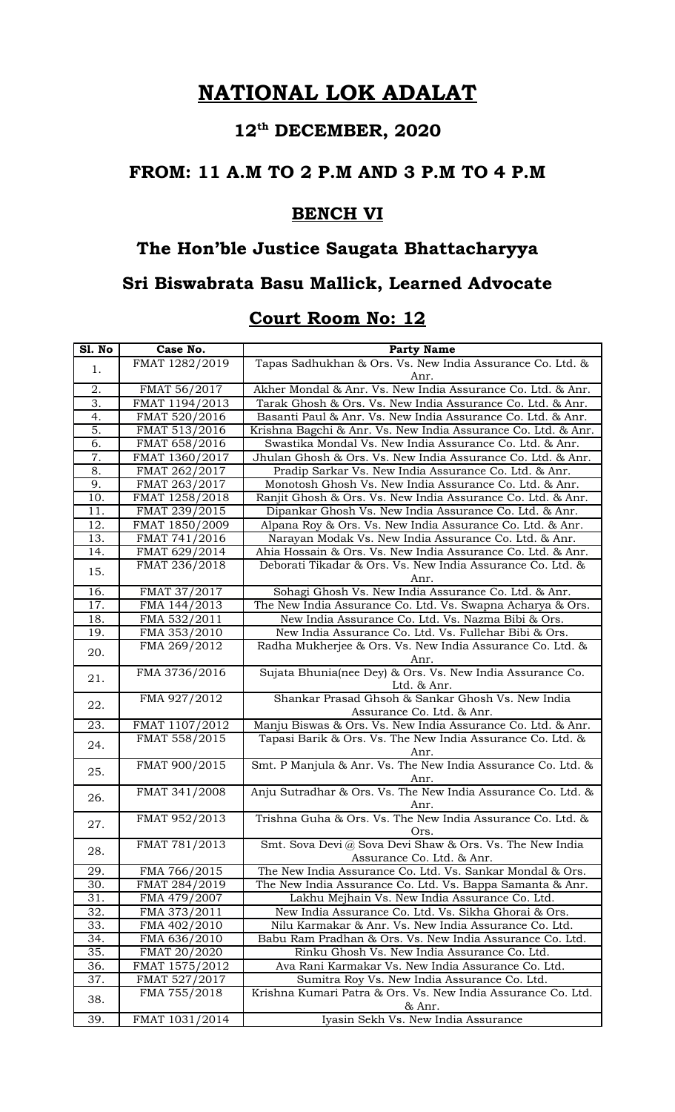# **12th DECEMBER, 2020**

#### **FROM: 11 A.M TO 2 P.M AND 3 P.M TO 4 P.M**

### **BENCH VI**

### **The Hon'ble Justice Saugata Bhattacharyya**

### **Sri Biswabrata Basu Mallick, Learned Advocate**

| Sl. No | Case No.       | <b>Party Name</b>                                                    |
|--------|----------------|----------------------------------------------------------------------|
|        | FMAT 1282/2019 | Tapas Sadhukhan & Ors. Vs. New India Assurance Co. Ltd. &            |
| 1.     |                | Anr.                                                                 |
| 2.     | FMAT 56/2017   | Akher Mondal & Anr. Vs. New India Assurance Co. Ltd. & Anr.          |
| 3.     | FMAT 1194/2013 | Tarak Ghosh & Ors. Vs. New India Assurance Co. Ltd. & Anr.           |
| 4.     | FMAT 520/2016  | Basanti Paul & Anr. Vs. New India Assurance Co. Ltd. & Anr.          |
| 5.     | FMAT 513/2016  | Krishna Bagchi & Anr. Vs. New India Assurance Co. Ltd. & Anr.        |
| 6.     | FMAT 658/2016  | Swastika Mondal Vs. New India Assurance Co. Ltd. & Anr.              |
| 7.     | FMAT 1360/2017 | Jhulan Ghosh & Ors. Vs. New India Assurance Co. Ltd. & Anr.          |
| 8.     | FMAT 262/2017  | Pradip Sarkar Vs. New India Assurance Co. Ltd. & Anr.                |
| 9.     | FMAT 263/2017  | Monotosh Ghosh Vs. New India Assurance Co. Ltd. & Anr.               |
| 10.    | FMAT 1258/2018 | Ranjit Ghosh & Ors. Vs. New India Assurance Co. Ltd. & Anr.          |
| 11.    | FMAT 239/2015  | Dipankar Ghosh Vs. New India Assurance Co. Ltd. & Anr.               |
| 12.    | FMAT 1850/2009 | Alpana Roy & Ors. Vs. New India Assurance Co. Ltd. & Anr.            |
| 13.    | FMAT 741/2016  | Narayan Modak Vs. New India Assurance Co. Ltd. & Anr.                |
| 14.    | FMAT 629/2014  | Ahia Hossain & Ors. Vs. New India Assurance Co. Ltd. & Anr.          |
| 15.    | FMAT 236/2018  | Deborati Tikadar & Ors. Vs. New India Assurance Co. Ltd. &           |
|        |                | Anr.                                                                 |
| 16.    | FMAT 37/2017   | Sohagi Ghosh Vs. New India Assurance Co. Ltd. & Anr.                 |
| 17.    | FMA 144/2013   | The New India Assurance Co. Ltd. Vs. Swapna Acharya & Ors.           |
| 18.    | FMA 532/2011   | New India Assurance Co. Ltd. Vs. Nazma Bibi & Ors.                   |
| 19.    | FMA 353/2010   | New India Assurance Co. Ltd. Vs. Fullehar Bibi & Ors.                |
| 20.    | FMA 269/2012   | Radha Mukherjee & Ors. Vs. New India Assurance Co. Ltd. &            |
|        |                | Anr.                                                                 |
| 21.    | FMA 3736/2016  | Sujata Bhunia(nee Dey) & Ors. Vs. New India Assurance Co.            |
|        |                | Ltd. & Anr.                                                          |
| 22.    | FMA 927/2012   | Shankar Prasad Ghsoh & Sankar Ghosh Vs. New India                    |
|        |                | Assurance Co. Ltd. & Anr.                                            |
| 23.    | FMAT 1107/2012 | Manju Biswas & Ors. Vs. New India Assurance Co. Ltd. & Anr.          |
| 24.    | FMAT 558/2015  | Tapasi Barik & Ors. Vs. The New India Assurance Co. Ltd. &           |
|        | FMAT 900/2015  | Anr.<br>Smt. P Manjula & Anr. Vs. The New India Assurance Co. Ltd. & |
| 25.    |                |                                                                      |
|        | FMAT 341/2008  | Anr.<br>Anju Sutradhar & Ors. Vs. The New India Assurance Co. Ltd. & |
| 26.    |                | Anr.                                                                 |
|        | FMAT 952/2013  | Trishna Guha & Ors. Vs. The New India Assurance Co. Ltd. &           |
| 27.    |                | Ors.                                                                 |
|        | FMAT 781/2013  | Smt. Sova Devi @ Sova Devi Shaw & Ors. Vs. The New India             |
| 28.    |                | Assurance Co. Ltd. & Anr.                                            |
| 29.    | FMA 766/2015   | The New India Assurance Co. Ltd. Vs. Sankar Mondal & Ors.            |
| 30.    | FMAT 284/2019  | The New India Assurance Co. Ltd. Vs. Bappa Samanta & Anr.            |
| 31.    | FMA 479/2007   | Lakhu Mejhain Vs. New India Assurance Co. Ltd.                       |
| 32.    | FMA 373/2011   | New India Assurance Co. Ltd. Vs. Sikha Ghorai & Ors.                 |
| 33.    | FMA 402/2010   | Nilu Karmakar & Anr. Vs. New India Assurance Co. Ltd.                |
| 34.    | FMA 636/2010   | Babu Ram Pradhan & Ors. Vs. New India Assurance Co. Ltd.             |
| 35.    | FMAT 20/2020   | Rinku Ghosh Vs. New India Assurance Co. Ltd.                         |
| 36.    | FMAT 1575/2012 | Ava Rani Karmakar Vs. New India Assurance Co. Ltd.                   |
| 37.    | FMAT 527/2017  | Sumitra Roy Vs. New India Assurance Co. Ltd.                         |
|        | FMA 755/2018   | Krishna Kumari Patra & Ors. Vs. New India Assurance Co. Ltd.         |
| 38.    |                | & Anr.                                                               |
| 39.    | FMAT 1031/2014 | Iyasin Sekh Vs. New India Assurance                                  |